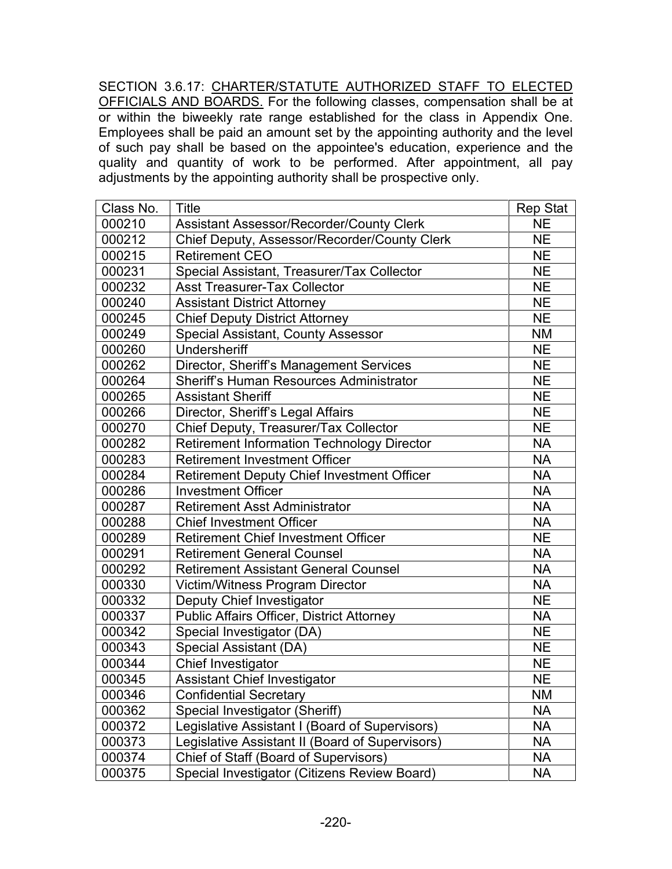SECTION 3.6.17: CHARTER/STATUTE AUTHORIZED STAFF TO ELECTED OFFICIALS AND BOARDS. For the following classes, compensation shall be at or within the biweekly rate range established for the class in Appendix One. Employees shall be paid an amount set by the appointing authority and the level of such pay shall be based on the appointee's education, experience and the quality and quantity of work to be performed. After appointment, all pay adjustments by the appointing authority shall be prospective only.

| Class No. | <b>Title</b>                                      | <b>Rep Stat</b> |  |
|-----------|---------------------------------------------------|-----------------|--|
| 000210    | Assistant Assessor/Recorder/County Clerk          | <b>NE</b>       |  |
| 000212    | Chief Deputy, Assessor/Recorder/County Clerk      |                 |  |
| 000215    | <b>Retirement CEO</b>                             | <b>NE</b>       |  |
| 000231    | Special Assistant, Treasurer/Tax Collector        | <b>NE</b>       |  |
| 000232    | <b>Asst Treasurer-Tax Collector</b>               | <b>NE</b>       |  |
| 000240    | <b>Assistant District Attorney</b>                | <b>NE</b>       |  |
| 000245    | <b>Chief Deputy District Attorney</b>             | <b>NE</b>       |  |
| 000249    | <b>Special Assistant, County Assessor</b>         | <b>NM</b>       |  |
| 000260    | Undersheriff                                      | <b>NE</b>       |  |
| 000262    | Director, Sheriff's Management Services           | <b>NE</b>       |  |
| 000264    | <b>Sheriff's Human Resources Administrator</b>    | <b>NE</b>       |  |
| 000265    | <b>Assistant Sheriff</b>                          | <b>NE</b>       |  |
| 000266    | Director, Sheriff's Legal Affairs                 | <b>NE</b>       |  |
| 000270    | Chief Deputy, Treasurer/Tax Collector             | <b>NE</b>       |  |
| 000282    | <b>Retirement Information Technology Director</b> | <b>NA</b>       |  |
| 000283    | <b>Retirement Investment Officer</b>              | <b>NA</b>       |  |
| 000284    | <b>Retirement Deputy Chief Investment Officer</b> | <b>NA</b>       |  |
| 000286    | <b>Investment Officer</b>                         | <b>NA</b>       |  |
| 000287    | <b>Retirement Asst Administrator</b>              | <b>NA</b>       |  |
| 000288    | <b>Chief Investment Officer</b>                   | <b>NA</b>       |  |
| 000289    | <b>Retirement Chief Investment Officer</b>        | <b>NE</b>       |  |
| 000291    | <b>Retirement General Counsel</b>                 | <b>NA</b>       |  |
| 000292    | <b>Retirement Assistant General Counsel</b>       | <b>NA</b>       |  |
| 000330    | Victim/Witness Program Director                   | <b>NA</b>       |  |
| 000332    | Deputy Chief Investigator                         | <b>NE</b>       |  |
| 000337    | <b>Public Affairs Officer, District Attorney</b>  | <b>NA</b>       |  |
| 000342    | Special Investigator (DA)                         | <b>NE</b>       |  |
| 000343    | Special Assistant (DA)                            | <b>NE</b>       |  |
| 000344    | Chief Investigator                                | <b>NE</b>       |  |
| 000345    | <b>Assistant Chief Investigator</b>               | <b>NE</b>       |  |
| 000346    | <b>Confidential Secretary</b>                     | <b>NM</b>       |  |
| 000362    | Special Investigator (Sheriff)                    | <b>NA</b>       |  |
| 000372    | Legislative Assistant I (Board of Supervisors)    | NA              |  |
| 000373    | Legislative Assistant II (Board of Supervisors)   | <b>NA</b>       |  |
| 000374    | Chief of Staff (Board of Supervisors)             | <b>NA</b>       |  |
| 000375    | Special Investigator (Citizens Review Board)      | <b>NA</b>       |  |